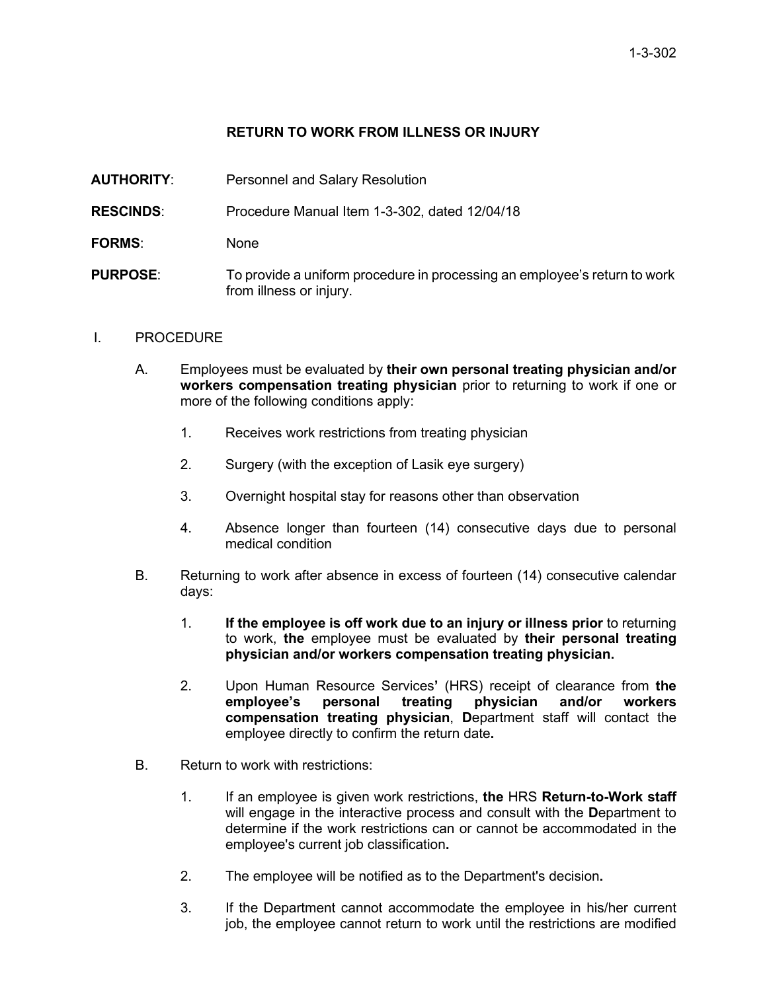## **RETURN TO WORK FROM ILLNESS OR INJURY**

**AUTHORITY**: Personnel and Salary Resolution

**RESCINDS**: Procedure Manual Item 1-3-302, dated 12/04/18

- **FORMS**: None
- **PURPOSE**: To provide a uniform procedure in processing an employee's return to work from illness or injury.
- I. PROCEDURE
	- A. Employees must be evaluated by **their own personal treating physician and/or workers compensation treating physician** prior to returning to work if one or more of the following conditions apply:
		- 1. Receives work restrictions from treating physician
		- 2. Surgery (with the exception of Lasik eye surgery)
		- 3. Overnight hospital stay for reasons other than observation
		- 4. Absence longer than fourteen (14) consecutive days due to personal medical condition
	- B. Returning to work after absence in excess of fourteen (14) consecutive calendar days:
		- 1. **If the employee is off work due to an injury or illness prior** to returning to work, **the** employee must be evaluated by **their personal treating physician and/or workers compensation treating physician.**
		- 2. Upon Human Resource Services**'** (HRS) receipt of clearance from **the employee's compensation treating physician**, **D**epartment staff will contact the employee directly to confirm the return date**.**
	- B. Return to work with restrictions:
		- 1. If an employee is given work restrictions, **the** HRS **Return-to-Work staff** will engage in the interactive process and consult with the **D**epartment to determine if the work restrictions can or cannot be accommodated in the employee's current job classification**.**
		- 2. The employee will be notified as to the Department's decision**.**
		- 3. If the Department cannot accommodate the employee in his/her current job, the employee cannot return to work until the restrictions are modified